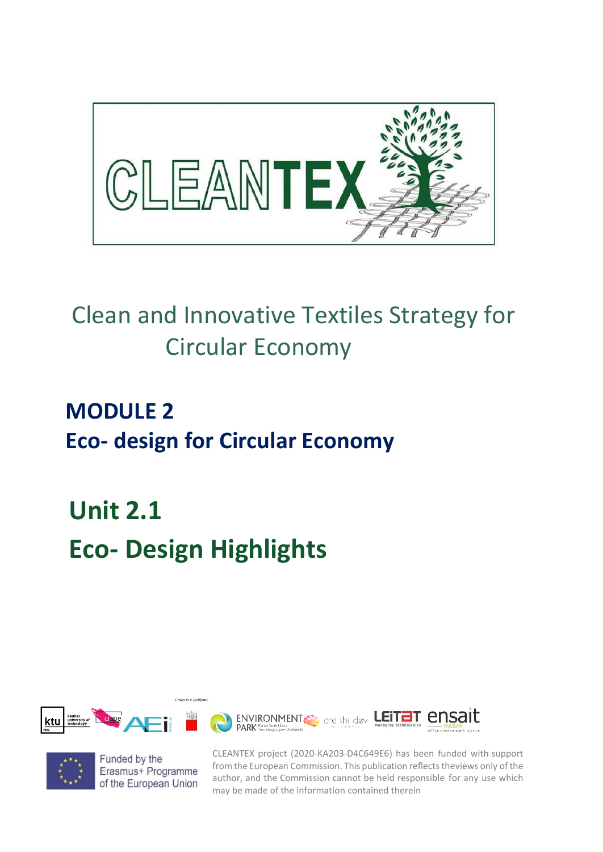

# Clean and Innovative Textiles Strategy for Circular Economy

# **MODULE 2 Eco- design for Circular Economy**

**Unit 2.1 Eco- Design Highlights**

Univerza v Liublia





Funded by the Erasmus+ Programme of the European Union CLEANTEX project (2020-KA203-D4C649E6) has been funded with support from the European Commission. This publication reflects theviews only of the author, and the Commission cannot be held responsible for any use which may be made of the information contained therein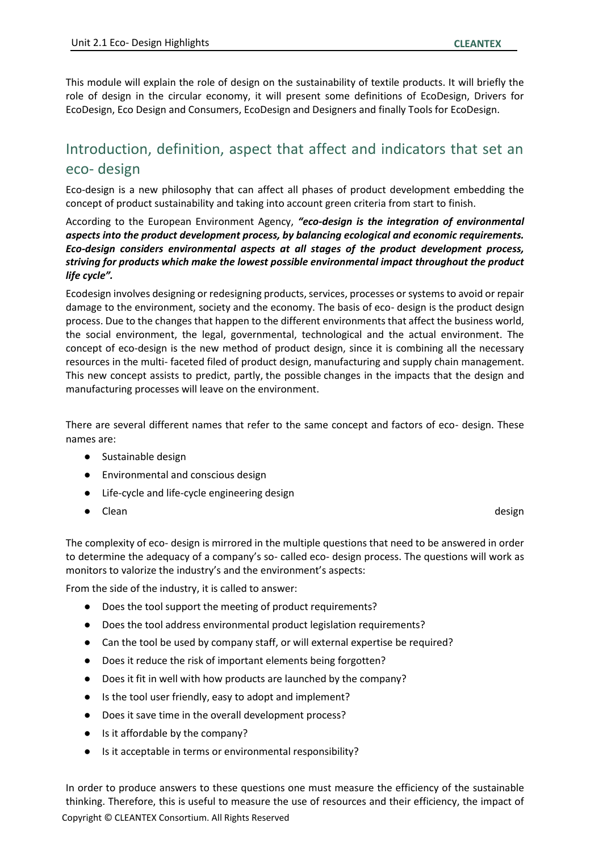This module will explain the role of design on the sustainability of textile products. It will briefly the role of design in the circular economy, it will present some definitions of EcoDesign, Drivers for EcoDesign, Eco Design and Consumers, EcoDesign and Designers and finally Tools for EcoDesign.

# Introduction, definition, aspect that affect and indicators that set an eco- design

Eco-design is a new philosophy that can affect all phases of product development embedding the concept of product sustainability and taking into account green criteria from start to finish.

According to the European Environment Agency, *"eco-design is the integration of environmental aspects into the product development process, by balancing ecological and economic requirements. Eco-design considers environmental aspects at all stages of the product development process, striving for products which make the lowest possible environmental impact throughout the product life cycle".*

Ecodesign involves designing or redesigning products, services, processes or systems to avoid or repair damage to the environment, society and the economy. The basis of eco- design is the product design process. Due to the changes that happen to the different environments that affect the business world, the social environment, the legal, governmental, technological and the actual environment. The concept of eco-design is the new method of product design, since it is combining all the necessary resources in the multi- faceted filed of product design, manufacturing and supply chain management. This new concept assists to predict, partly, the possible changes in the impacts that the design and manufacturing processes will leave on the environment.

There are several different names that refer to the same concept and factors of eco- design. These names are:

- Sustainable design
- Environmental and conscious design
- Life-cycle and life-cycle engineering design
- Clean design

The complexity of eco- design is mirrored in the multiple questions that need to be answered in order to determine the adequacy of a company's so- called eco- design process. The questions will work as monitors to valorize the industry's and the environment's aspects:

From the side of the industry, it is called to answer:

- Does the tool support the meeting of product requirements?
- Does the tool address environmental product legislation requirements?
- Can the tool be used by company staff, or will external expertise be required?
- Does it reduce the risk of important elements being forgotten?
- Does it fit in well with how products are launched by the company?
- Is the tool user friendly, easy to adopt and implement?
- Does it save time in the overall development process?
- Is it affordable by the company?
- Is it acceptable in terms or environmental responsibility?

Copyright © CLEANTEX Consortium. All Rights Reserved In order to produce answers to these questions one must measure the efficiency of the sustainable thinking. Therefore, this is useful to measure the use of resources and their efficiency, the impact of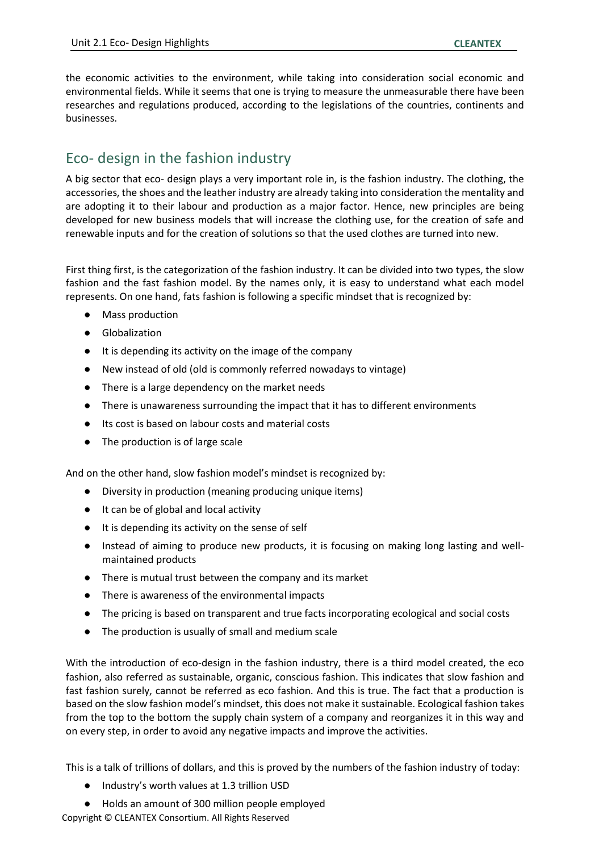the economic activities to the environment, while taking into consideration social economic and environmental fields. While it seems that one is trying to measure the unmeasurable there have been researches and regulations produced, according to the legislations of the countries, continents and businesses.

## Eco- design in the fashion industry

A big sector that eco- design plays a very important role in, is the fashion industry. The clothing, the accessories, the shoes and the leather industry are already taking into consideration the mentality and are adopting it to their labour and production as a major factor. Hence, new principles are being developed for new business models that will increase the clothing use, for the creation of safe and renewable inputs and for the creation of solutions so that the used clothes are turned into new.

First thing first, is the categorization of the fashion industry. It can be divided into two types, the slow fashion and the fast fashion model. By the names only, it is easy to understand what each model represents. On one hand, fats fashion is following a specific mindset that is recognized by:

- **Mass production**
- Globalization
- It is depending its activity on the image of the company
- New instead of old (old is commonly referred nowadays to vintage)
- There is a large dependency on the market needs
- There is unawareness surrounding the impact that it has to different environments
- Its cost is based on labour costs and material costs
- The production is of large scale

And on the other hand, slow fashion model's mindset is recognized by:

- Diversity in production (meaning producing unique items)
- It can be of global and local activity
- It is depending its activity on the sense of self
- Instead of aiming to produce new products, it is focusing on making long lasting and wellmaintained products
- There is mutual trust between the company and its market
- There is awareness of the environmental impacts
- The pricing is based on transparent and true facts incorporating ecological and social costs
- The production is usually of small and medium scale

With the introduction of eco-design in the fashion industry, there is a third model created, the eco fashion, also referred as sustainable, organic, conscious fashion. This indicates that slow fashion and fast fashion surely, cannot be referred as eco fashion. And this is true. The fact that a production is based on the slow fashion model's mindset, this does not make it sustainable. Ecological fashion takes from the top to the bottom the supply chain system of a company and reorganizes it in this way and on every step, in order to avoid any negative impacts and improve the activities.

This is a talk of trillions of dollars, and this is proved by the numbers of the fashion industry of today:

- Industry's worth values at 1.3 trillion USD
- Holds an amount of 300 million people employed

Copyright © CLEANTEX Consortium. All Rights Reserved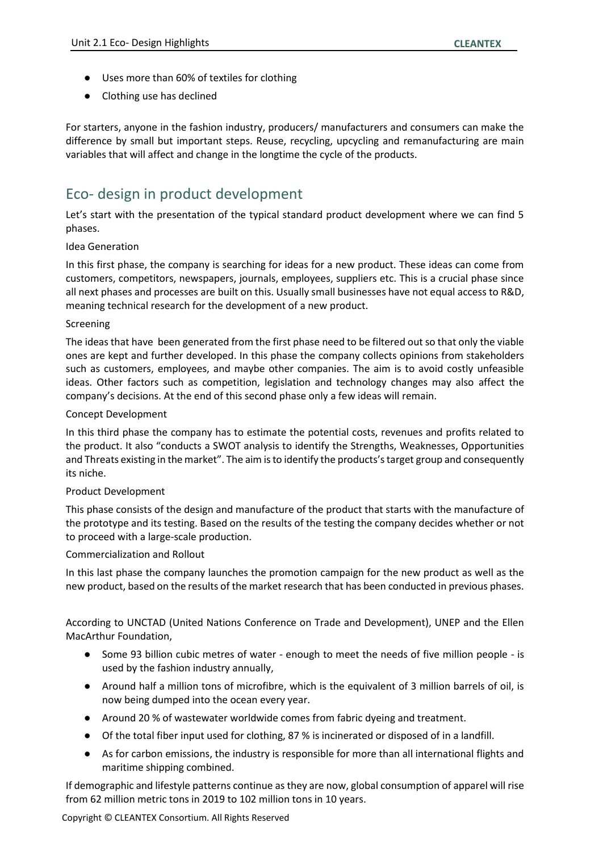- Uses more than 60% of textiles for clothing
- Clothing use has declined

For starters, anyone in the fashion industry, producers/ manufacturers and consumers can make the difference by small but important steps. Reuse, recycling, upcycling and remanufacturing are main variables that will affect and change in the longtime the cycle of the products.

## Eco- design in product development

Let's start with the presentation of the typical standard product development where we can find 5 phases.

### Idea Generation

In this first phase, the company is searching for ideas for a new product. These ideas can come from customers, competitors, newspapers, journals, employees, suppliers etc. This is a crucial phase since all next phases and processes are built on this. Usually small businesses have not equal access to R&D, meaning technical research for the development of a new product.

#### Screening

The ideas that have been generated from the first phase need to be filtered out so that only the viable ones are kept and further developed. In this phase the company collects opinions from stakeholders such as customers, employees, and maybe other companies. The aim is to avoid costly unfeasible ideas. Other factors such as competition, legislation and technology changes may also affect the company's decisions. At the end of this second phase only a few ideas will remain.

#### Concept Development

In this third phase the company has to estimate the potential costs, revenues and profits related to the product. It also "conducts a SWOT analysis to identify the Strengths, Weaknesses, Opportunities and Threats existing in the market". The aim is to identify the products's target group and consequently its niche.

### Product Development

This phase consists of the design and manufacture of the product that starts with the manufacture of the prototype and its testing. Based on the results of the testing the company decides whether or not to proceed with a large-scale production.

### Commercialization and Rollout

In this last phase the company launches the promotion campaign for the new product as well as the new product, based on the results of the market research that has been conducted in previous phases.

According to UNCTAD (United Nations Conference on Trade and Development), UNEP and the Ellen MacArthur Foundation,

- Some 93 billion cubic metres of water enough to meet the needs of five million people is used by the fashion industry annually,
- Around half a million tons of microfibre, which is the equivalent of 3 million barrels of oil, is now being dumped into the ocean every year.
- Around 20 % of wastewater worldwide comes from fabric dyeing and treatment.
- Of the total fiber input used for clothing, 87 % is incinerated or disposed of in a landfill.
- As for carbon emissions, the industry is responsible for more than all international flights and maritime shipping combined.

If demographic and lifestyle patterns continue as they are now, global consumption of apparel will rise from 62 million metric tons in 2019 to 102 million tons in 10 years.

Copyright © CLEANTEX Consortium. All Rights Reserved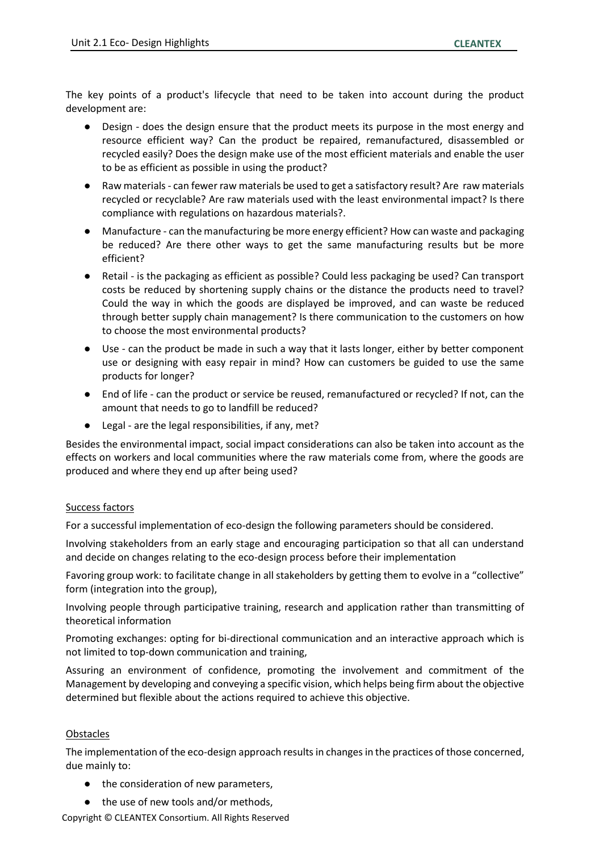The key points of a product's lifecycle that need to be taken into account during the product development are:

- Design does the design ensure that the product meets its purpose in the most energy and resource efficient way? Can the product be repaired, remanufactured, disassembled or recycled easily? Does the design make use of the most efficient materials and enable the user to be as efficient as possible in using the product?
- Raw materials can fewer raw materials be used to get a satisfactory result? Are raw materials recycled or recyclable? Are raw materials used with the least environmental impact? Is there compliance with regulations on hazardous materials?.
- Manufacture can the manufacturing be more energy efficient? How can waste and packaging be reduced? Are there other ways to get the same manufacturing results but be more efficient?
- Retail is the packaging as efficient as possible? Could less packaging be used? Can transport costs be reduced by shortening supply chains or the distance the products need to travel? Could the way in which the goods are displayed be improved, and can waste be reduced through better supply chain management? Is there communication to the customers on how to choose the most environmental products?
- Use can the product be made in such a way that it lasts longer, either by better component use or designing with easy repair in mind? How can customers be guided to use the same products for longer?
- End of life can the product or service be reused, remanufactured or recycled? If not, can the amount that needs to go to landfill be reduced?
- Legal are the legal responsibilities, if any, met?

Besides the environmental impact, social impact considerations can also be taken into account as the effects on workers and local communities where the raw materials come from, where the goods are produced and where they end up after being used?

### Success factors

For a successful implementation of eco-design the following parameters should be considered.

Involving stakeholders from an early stage and encouraging participation so that all can understand and decide on changes relating to the eco-design process before their implementation

Favoring group work: to facilitate change in all stakeholders by getting them to evolve in a "collective" form (integration into the group),

Involving people through participative training, research and application rather than transmitting of theoretical information

Promoting exchanges: opting for bi-directional communication and an interactive approach which is not limited to top-down communication and training,

Assuring an environment of confidence, promoting the involvement and commitment of the Management by developing and conveying a specific vision, which helps being firm about the objective determined but flexible about the actions required to achieve this objective.

## **Obstacles**

The implementation of the eco-design approach results in changes in the practices of those concerned, due mainly to:

- the consideration of new parameters,
- the use of new tools and/or methods,

Copyright © CLEANTEX Consortium. All Rights Reserved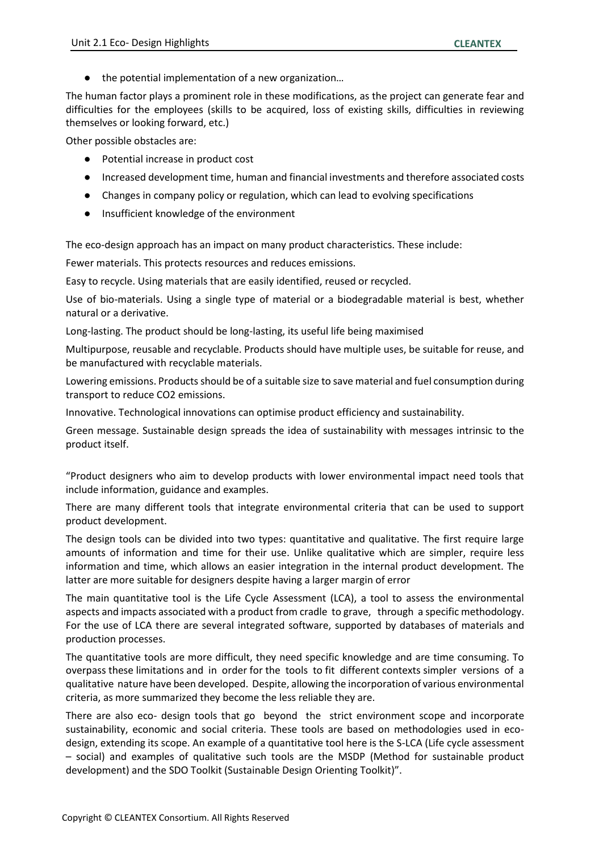the potential implementation of a new organization...

The human factor plays a prominent role in these modifications, as the project can generate fear and difficulties for the employees (skills to be acquired, loss of existing skills, difficulties in reviewing themselves or looking forward, etc.)

Other possible obstacles are:

- Potential increase in product cost
- Increased development time, human and financial investments and therefore associated costs
- Changes in company policy or regulation, which can lead to evolving specifications
- Insufficient knowledge of the environment

The eco-design approach has an impact on many product characteristics. These include:

Fewer materials. This protects resources and reduces emissions.

Easy to recycle. Using materials that are easily identified, reused or recycled.

Use of bio-materials. Using a single type of material or a biodegradable material is best, whether natural or a derivative.

Long-lasting. The product should be long-lasting, its useful life being maximised

Multipurpose, reusable and recyclable. Products should have multiple uses, be suitable for reuse, and be manufactured with recyclable materials.

Lowering emissions. Products should be of a suitable size to save material and fuel consumption during transport to reduce CO2 emissions.

Innovative. Technological innovations can optimise product efficiency and sustainability.

Green message. Sustainable design spreads the idea of sustainability with messages intrinsic to the product itself.

"Product designers who aim to develop products with lower environmental impact need tools that include information, guidance and examples.

There are many different tools that integrate environmental criteria that can be used to support product development.

The design tools can be divided into two types: quantitative and qualitative. The first require large amounts of information and time for their use. Unlike qualitative which are simpler, require less information and time, which allows an easier integration in the internal product development. The latter are more suitable for designers despite having a larger margin of error

The main quantitative tool is the Life Cycle Assessment (LCA), a tool to assess the environmental aspects and impacts associated with a product from cradle to grave, through a specific methodology. For the use of LCA there are several integrated software, supported by databases of materials and production processes.

The quantitative tools are more difficult, they need specific knowledge and are time consuming. To overpass these limitations and in order for the tools to fit different contexts simpler versions of a qualitative nature have been developed. Despite, allowing the incorporation of various environmental criteria, as more summarized they become the less reliable they are.

There are also eco- design tools that go beyond the strict environment scope and incorporate sustainability, economic and social criteria. These tools are based on methodologies used in ecodesign, extending its scope. An example of a quantitative tool here is the S-LCA (Life cycle assessment – social) and examples of qualitative such tools are the MSDP (Method for sustainable product development) and the SDO Toolkit (Sustainable Design Orienting Toolkit)".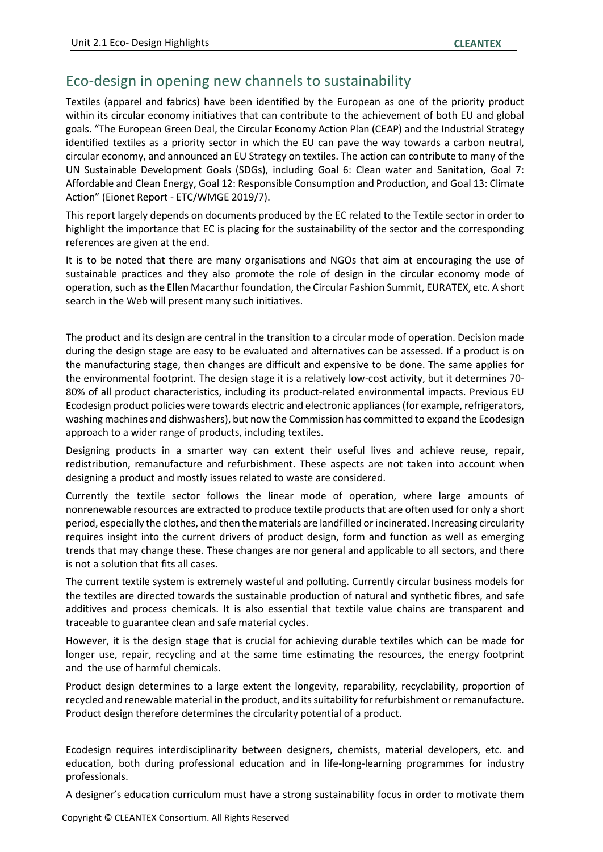## Eco-design in opening new channels to sustainability

Textiles (apparel and fabrics) have been identified by the European as one of the priority product within its circular economy initiatives that can contribute to the achievement of both EU and global goals. "The European Green Deal, the Circular Economy Action Plan (CEAP) and the Industrial Strategy identified textiles as a priority sector in which the EU can pave the way towards a carbon neutral, circular economy, and announced an EU Strategy on textiles. The action can contribute to many of the UN Sustainable Development Goals (SDGs), including Goal 6: Clean water and Sanitation, Goal 7: Affordable and Clean Energy, Goal 12: Responsible Consumption and Production, and Goal 13: Climate Action" (Eionet Report ‐ ETC/WMGE 2019/7).

This report largely depends on documents produced by the EC related to the Textile sector in order to highlight the importance that EC is placing for the sustainability of the sector and the corresponding references are given at the end.

It is to be noted that there are many organisations and NGOs that aim at encouraging the use of sustainable practices and they also promote the role of design in the circular economy mode of operation, such as the Ellen Macarthur foundation, the Circular Fashion Summit, EURATEX, etc. A short search in the Web will present many such initiatives.

The product and its design are central in the transition to a circular mode of operation. Decision made during the design stage are easy to be evaluated and alternatives can be assessed. If a product is on the manufacturing stage, then changes are difficult and expensive to be done. The same applies for the environmental footprint. The design stage it is a relatively low-cost activity, but it determines 70- 80% of all product characteristics, including its product-related environmental impacts. Previous EU Ecodesign product policies were towards electric and electronic appliances (for example, refrigerators, washing machines and dishwashers), but now the Commission has committed to expand the Ecodesign approach to a wider range of products, including textiles.

Designing products in a smarter way can extent their useful lives and achieve reuse, repair, redistribution, remanufacture and refurbishment. These aspects are not taken into account when designing a product and mostly issues related to waste are considered.

Currently the textile sector follows the linear mode of operation, where large amounts of nonrenewable resources are extracted to produce textile products that are often used for only a short period, especially the clothes, and then the materials are landfilled or incinerated. Increasing circularity requires insight into the current drivers of product design, form and function as well as emerging trends that may change these. These changes are nor general and applicable to all sectors, and there is not a solution that fits all cases.

The current textile system is extremely wasteful and polluting. Currently circular business models for the textiles are directed towards the sustainable production of natural and synthetic fibres, and safe additives and process chemicals. It is also essential that textile value chains are transparent and traceable to guarantee clean and safe material cycles.

However, it is the design stage that is crucial for achieving durable textiles which can be made for longer use, repair, recycling and at the same time estimating the resources, the energy footprint and the use of harmful chemicals.

Product design determines to a large extent the longevity, reparability, recyclability, proportion of recycled and renewable material in the product, and its suitability for refurbishment or remanufacture. Product design therefore determines the circularity potential of a product.

Ecodesign requires interdisciplinarity between designers, chemists, material developers, etc. and education, both during professional education and in life-long-learning programmes for industry professionals.

A designer's education curriculum must have a strong sustainability focus in order to motivate them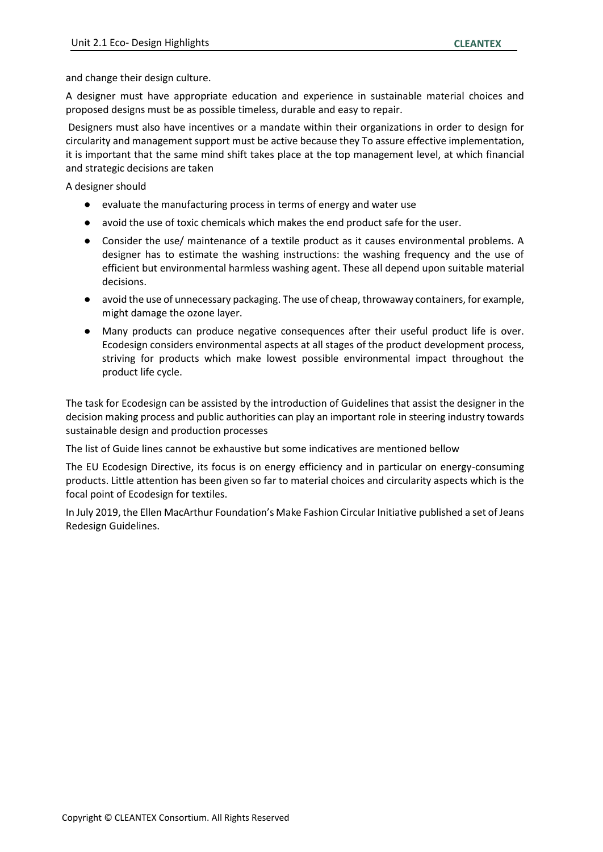and change their design culture.

A designer must have appropriate education and experience in sustainable material choices and proposed designs must be as possible timeless, durable and easy to repair.

Designers must also have incentives or a mandate within their organizations in order to design for circularity and management support must be active because they To assure effective implementation, it is important that the same mind shift takes place at the top management level, at which financial and strategic decisions are taken

A designer should

- evaluate the manufacturing process in terms of energy and water use
- avoid the use of toxic chemicals which makes the end product safe for the user.
- Consider the use/ maintenance of a textile product as it causes environmental problems. A designer has to estimate the washing instructions: the washing frequency and the use of efficient but environmental harmless washing agent. These all depend upon suitable material decisions.
- avoid the use of unnecessary packaging. The use of cheap, throwaway containers, for example, might damage the ozone layer.
- Many products can produce negative consequences after their useful product life is over. Ecodesign considers environmental aspects at all stages of the product development process, striving for products which make lowest possible environmental impact throughout the product life cycle.

The task for Ecodesign can be assisted by the introduction of Guidelines that assist the designer in the decision making process and public authorities can play an important role in steering industry towards sustainable design and production processes

The list of Guide lines cannot be exhaustive but some indicatives are mentioned bellow

The EU Ecodesign Directive, its focus is on energy efficiency and in particular on energy-consuming products. Little attention has been given so far to material choices and circularity aspects which is the focal point of Ecodesign for textiles.

In July 2019, the Ellen MacArthur Foundation's Make Fashion Circular Initiative published a set of Jeans Redesign Guidelines.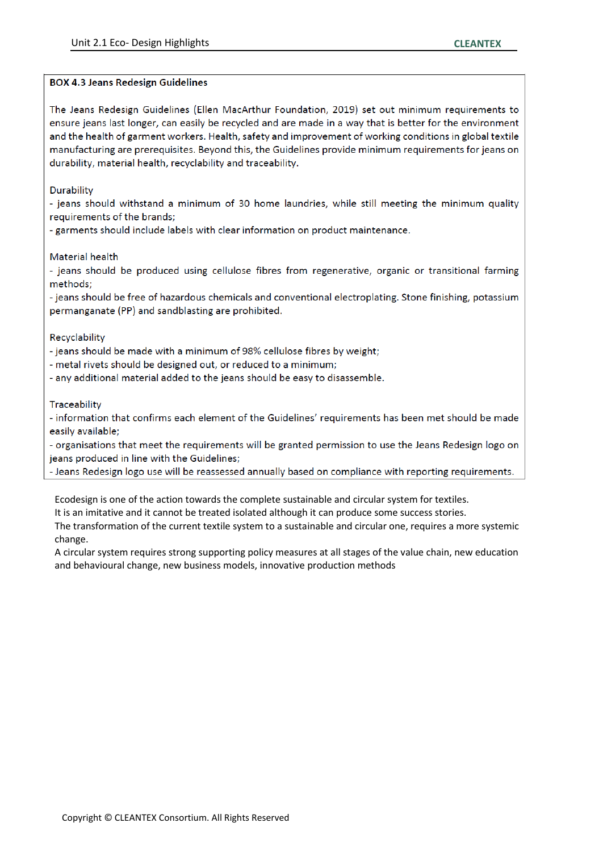#### **BOX 4.3 Jeans Redesign Guidelines**

The Jeans Redesign Guidelines (Ellen MacArthur Foundation, 2019) set out minimum requirements to ensure jeans last longer, can easily be recycled and are made in a way that is better for the environment and the health of garment workers. Health, safety and improvement of working conditions in global textile manufacturing are prerequisites. Beyond this, the Guidelines provide minimum requirements for jeans on durability, material health, recyclability and traceability.

Durability

- jeans should withstand a minimum of 30 home laundries, while still meeting the minimum quality requirements of the brands;

- garments should include labels with clear information on product maintenance.

Material health

- jeans should be produced using cellulose fibres from regenerative, organic or transitional farming methods;

- jeans should be free of hazardous chemicals and conventional electroplating. Stone finishing, potassium permanganate (PP) and sandblasting are prohibited.

Recyclability

- jeans should be made with a minimum of 98% cellulose fibres by weight;

- metal rivets should be designed out, or reduced to a minimum;

- any additional material added to the jeans should be easy to disassemble.

Traceability

- information that confirms each element of the Guidelines' requirements has been met should be made easily available;

- organisations that meet the requirements will be granted permission to use the Jeans Redesign logo on jeans produced in line with the Guidelines;

- Jeans Redesign logo use will be reassessed annually based on compliance with reporting requirements.

Ecodesign is one of the action towards the complete sustainable and circular system for textiles.

It is an imitative and it cannot be treated isolated although it can produce some success stories.

The transformation of the current textile system to a sustainable and circular one, requires a more systemic change.

A circular system requires strong supporting policy measures at all stages of the value chain, new education and behavioural change, new business models, innovative production methods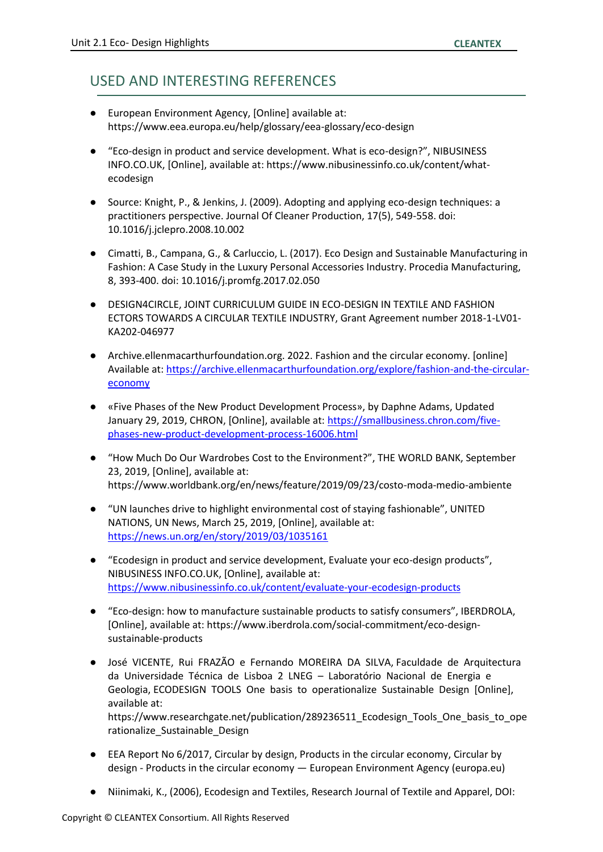## USED AND INTERESTING REFERENCES

- European Environment Agency, [Online] available at: https://www.eea.europa.eu/help/glossary/eea-glossary/eco-design
- "Eco-design in product and service development. What is eco-design?", NIBUSINESS INFO.CO.UK, [Online], available at: https://www.nibusinessinfo.co.uk/content/whatecodesign
- Source: Knight, P., & Jenkins, J. (2009). Adopting and applying eco-design techniques: a practitioners perspective. Journal Of Cleaner Production, 17(5), 549-558. doi: 10.1016/j.jclepro.2008.10.002
- Cimatti, B., Campana, G., & Carluccio, L. (2017). Eco Design and Sustainable Manufacturing in Fashion: A Case Study in the Luxury Personal Accessories Industry. Procedia Manufacturing, 8, 393-400. doi: 10.1016/j.promfg.2017.02.050
- DESIGN4CIRCLE, JOINT CURRICULUM GUIDE IN ECO-DESIGN IN TEXTILE AND FASHION ECTORS TOWARDS A CIRCULAR TEXTILE INDUSTRY, Grant Agreement number 2018-1-LV01- KA202-046977
- Archive.ellenmacarthurfoundation.org. 2022. Fashion and the circular economy. [online] Available at: [https://archive.ellenmacarthurfoundation.org/explore/fashion-and-the-circular](https://archive.ellenmacarthurfoundation.org/explore/fashion-and-the-circular-economy)[economy](https://archive.ellenmacarthurfoundation.org/explore/fashion-and-the-circular-economy)
- «Five Phases of the New Product Development Process», by Daphne Adams, Updated January 29, 2019, CHRON, [Online], available at: [https://smallbusiness.chron.com/five](https://smallbusiness.chron.com/five-phases-new-product-development-process-16006.html)[phases-new-product-development-process-16006.html](https://smallbusiness.chron.com/five-phases-new-product-development-process-16006.html)
- "How Much Do Our Wardrobes Cost to the Environment?", THE WORLD BANK, September 23, 2019, [Online], available at: https://www.worldbank.org/en/news/feature/2019/09/23/costo-moda-medio-ambiente
- "UN launches drive to highlight environmental cost of staying fashionable", UNITED NATIONS, UN News, March 25, 2019, [Online], available at: <https://news.un.org/en/story/2019/03/1035161>
- "Ecodesign in product and service development, Evaluate your eco-design products", NIBUSINESS INFO.CO.UK, [Online], available at: <https://www.nibusinessinfo.co.uk/content/evaluate-your-ecodesign-products>
- "Eco-design: how to manufacture sustainable products to satisfy consumers", IBERDROLA, [Online], available at: https://www.iberdrola.com/social-commitment/eco-designsustainable-products
- José VICENTE, Rui FRAZÃO e Fernando MOREIRA DA SILVA, Faculdade de Arquitectura da Universidade Técnica de Lisboa 2 LNEG – Laboratório Nacional de Energia e Geologia, ECODESIGN TOOLS One basis to operationalize Sustainable Design [Online], available at: https://www.researchgate.net/publication/289236511\_Ecodesign\_Tools\_One\_basis\_to\_ope rationalize\_Sustainable\_Design
- EEA Report No 6/2017, Circular by design, Products in the circular economy, Circular by design - Products in the circular economy — European Environment Agency (europa.eu)
- Niinimaki, K., (2006), Ecodesign and Textiles, Research Journal of Textile and Apparel, DOI: